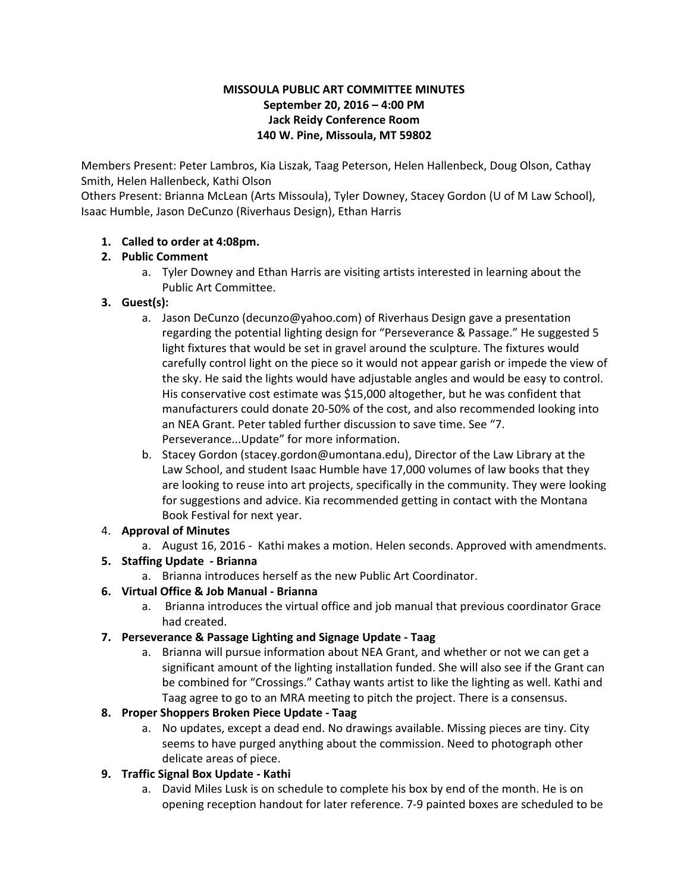#### **MISSOULA PUBLIC ART COMMITTEE MINUTES September 20, 2016 – 4:00 PM Jack Reidy Conference Room 140 W. Pine, Missoula, MT 59802**

Members Present: Peter Lambros, Kia Liszak, Taag Peterson, Helen Hallenbeck, Doug Olson, Cathay Smith, Helen Hallenbeck, Kathi Olson

Others Present: Brianna McLean (Arts Missoula), Tyler Downey, Stacey Gordon (U of M Law School), Isaac Humble, Jason DeCunzo (Riverhaus Design), Ethan Harris

# **1. Called to order at 4:08pm.**

### **2. Public Comment**

a. Tyler Downey and Ethan Harris are visiting artists interested in learning about the Public Art Committee.

### **3. Guest(s):**

- a. Jason DeCunzo (decunzo@yahoo.com) of Riverhaus Design gave a presentation regarding the potential lighting design for "Perseverance & Passage." He suggested 5 light fixtures that would be set in gravel around the sculpture. The fixtures would carefully control light on the piece so it would not appear garish or impede the view of the sky. He said the lights would have adjustable angles and would be easy to control. His conservative cost estimate was \$15,000 altogether, but he was confident that manufacturers could donate 20-50% of the cost, and also recommended looking into an NEA Grant. Peter tabled further discussion to save time. See "7. Perseverance...Update" for more information.
- b. Stacey Gordon (stacey.gordon@umontana.edu), Director of the Law Library at the Law School, and student Isaac Humble have 17,000 volumes of law books that they are looking to reuse into art projects, specifically in the community. They were looking for suggestions and advice. Kia recommended getting in contact with the Montana Book Festival for next year.

#### 4. **Approval of Minutes**

a. August 16, 2016 - Kathi makes a motion. Helen seconds. Approved with amendments.

# **5. Staffing Update - Brianna**

a. Brianna introduces herself as the new Public Art Coordinator.

# **6. Virtual Office & Job Manual - Brianna**

a. Brianna introduces the virtual office and job manual that previous coordinator Grace had created.

# **7. Perseverance & Passage Lighting and Signage Update - Taag**

a. Brianna will pursue information about NEA Grant, and whether or not we can get a significant amount of the lighting installation funded. She will also see if the Grant can be combined for "Crossings." Cathay wants artist to like the lighting as well. Kathi and Taag agree to go to an MRA meeting to pitch the project. There is a consensus.

# **8. Proper Shoppers Broken Piece Update - Taag**

a. No updates, except a dead end. No drawings available. Missing pieces are tiny. City seems to have purged anything about the commission. Need to photograph other delicate areas of piece.

# **9. Traffic Signal Box Update - Kathi**

a. David Miles Lusk is on schedule to complete his box by end of the month. He is on opening reception handout for later reference. 7-9 painted boxes are scheduled to be